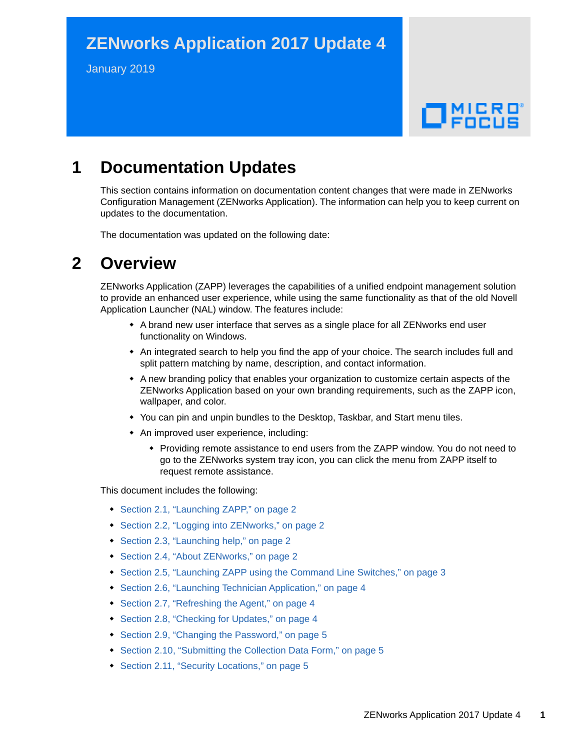# **ZENworks Application 2017 Update 4**

January 2019

# $\Box$ MICRO'

# **1 Documentation Updates**

This section contains information on documentation content changes that were made in ZENworks Configuration Management (ZENworks Application). The information can help you to keep current on updates to the documentation.

The documentation was updated on the following date:

## **2 Overview**

ZENworks Application (ZAPP) leverages the capabilities of a unified endpoint management solution to provide an enhanced user experience, while using the same functionality as that of the old Novell Application Launcher (NAL) window. The features include:

- A brand new user interface that serves as a single place for all ZENworks end user functionality on Windows.
- An integrated search to help you find the app of your choice. The search includes full and split pattern matching by name, description, and contact information.
- A new branding policy that enables your organization to customize certain aspects of the ZENworks Application based on your own branding requirements, such as the ZAPP icon, wallpaper, and color.
- You can pin and unpin bundles to the Desktop, Taskbar, and Start menu tiles.
- An improved user experience, including:
	- Providing remote assistance to end users from the ZAPP window. You do not need to go to the ZENworks system tray icon, you can click the menu from ZAPP itself to request remote assistance.

This document includes the following:

- [Section 2.1, "Launching ZAPP," on page 2](#page-1-0)
- [Section 2.2, "Logging into ZENworks," on page 2](#page-1-1)
- [Section 2.3, "Launching help," on page 2](#page-1-2)
- [Section 2.4, "About ZENworks," on page 2](#page-1-3)
- [Section 2.5, "Launching ZAPP using the Command Line Switches," on page 3](#page-2-0)
- [Section 2.6, "Launching Technician Application," on page 4](#page-3-0)
- [Section 2.7, "Refreshing the Agent," on page 4](#page-3-1)
- [Section 2.8, "Checking for Updates," on page 4](#page-3-2)
- ◆ [Section 2.9, "Changing the Password," on page 5](#page-4-0)
- [Section 2.10, "Submitting the Collection Data Form," on page 5](#page-4-1)
- [Section 2.11, "Security Locations," on page 5](#page-4-2)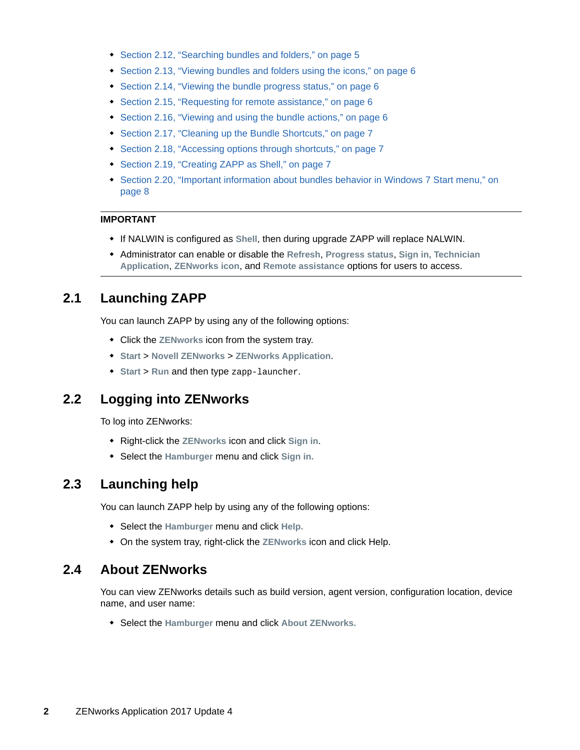- [Section 2.12, "Searching bundles and folders," on page 5](#page-4-3)
- [Section 2.13, "Viewing bundles and folders using the icons," on page 6](#page-5-0)
- [Section 2.14, "Viewing the bundle progress status," on page 6](#page-5-1)
- [Section 2.15, "Requesting for remote assistance," on page 6](#page-5-2)
- [Section 2.16, "Viewing and using the bundle actions," on page 6](#page-5-3)
- [Section 2.17, "Cleaning up the Bundle Shortcuts," on page 7](#page-6-1)
- [Section 2.18, "Accessing options through shortcuts," on page 7](#page-6-0)
- [Section 2.19, "Creating ZAPP as Shell," on page 7](#page-6-2)
- [Section 2.20, "Important information about bundles behavior in Windows 7 Start menu," on](#page-7-0)  [page 8](#page-7-0)

#### **IMPORTANT**

- If NALWIN is configured as **Shell**, then during upgrade ZAPP will replace NALWIN.
- Administrator can enable or disable the **Refresh**, **Progress status**, **Sign in, Technician Application**, **ZENworks icon**, and **Remote assistance** options for users to access.

## <span id="page-1-0"></span>**2.1 Launching ZAPP**

You can launch ZAPP by using any of the following options:

- Click the **ZENworks** icon from the system tray.
- **Start** > **Novell ZENworks** > **ZENworks Application**.
- **Start** > **Run** and then type zapp-launcher.

## <span id="page-1-1"></span>**2.2 Logging into ZENworks**

To log into ZENworks:

- Right-click the **ZENworks** icon and click **Sign in**.
- Select the **Hamburger** menu and click **Sign in.**

#### <span id="page-1-2"></span>**2.3 Launching help**

You can launch ZAPP help by using any of the following options:

- Select the **Hamburger** menu and click **Help.**
- On the system tray, right-click the **ZENworks** icon and click Help.

#### <span id="page-1-3"></span>**2.4 About ZENworks**

You can view ZENworks details such as build version, agent version, configuration location, device name, and user name:

Select the **Hamburger** menu and click **About ZENworks.**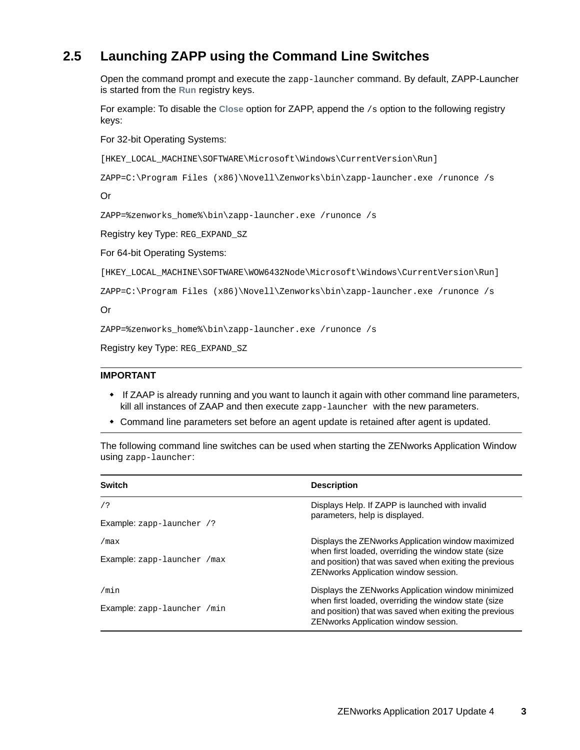## <span id="page-2-0"></span>**2.5 Launching ZAPP using the Command Line Switches**

Open the command prompt and execute the zapp-launcher command. By default, ZAPP-Launcher is started from the **Run** registry keys.

For example: To disable the **Close** option for ZAPP, append the /s option to the following registry keys:

For 32-bit Operating Systems:

[HKEY\_LOCAL\_MACHINE\SOFTWARE\Microsoft\Windows\CurrentVersion\Run]

```
ZAPP=C:\Program Files (x86)\Novell\Zenworks\bin\zapp-launcher.exe /runonce /s
```
Or

```
ZAPP=%zenworks_home%\bin\zapp-launcher.exe /runonce /s
```
Registry key Type: REG\_EXPAND\_SZ

For 64-bit Operating Systems:

[HKEY\_LOCAL\_MACHINE\SOFTWARE\WOW6432Node\Microsoft\Windows\CurrentVersion\Run]

ZAPP=C:\Program Files (x86)\Novell\Zenworks\bin\zapp-launcher.exe /runonce /s

Or

ZAPP=%zenworks\_home%\bin\zapp-launcher.exe /runonce /s

Registry key Type: REG\_EXPAND\_SZ

#### **IMPORTANT**

- If ZAAP is already running and you want to launch it again with other command line parameters, kill all instances of ZAAP and then execute zapp-launcher with the new parameters.
- Command line parameters set before an agent update is retained after agent is updated.

The following command line switches can be used when starting the ZENworks Application Window using zapp-launcher:

| <b>Switch</b>                | <b>Description</b>                                                                                                                                                                                            |
|------------------------------|---------------------------------------------------------------------------------------------------------------------------------------------------------------------------------------------------------------|
| 7?                           | Displays Help. If ZAPP is launched with invalid                                                                                                                                                               |
| Example: zapp-launcher /?    | parameters, help is displayed.                                                                                                                                                                                |
| /max                         | Displays the ZENworks Application window maximized<br>when first loaded, overriding the window state (size<br>and position) that was saved when exiting the previous<br>ZEN works Application window session. |
| Example: zapp-launcher / max |                                                                                                                                                                                                               |
| /min                         | Displays the ZENworks Application window minimized<br>when first loaded, overriding the window state (size<br>and position) that was saved when exiting the previous<br>ZENworks Application window session.  |
| Example: zapp-launcher /min  |                                                                                                                                                                                                               |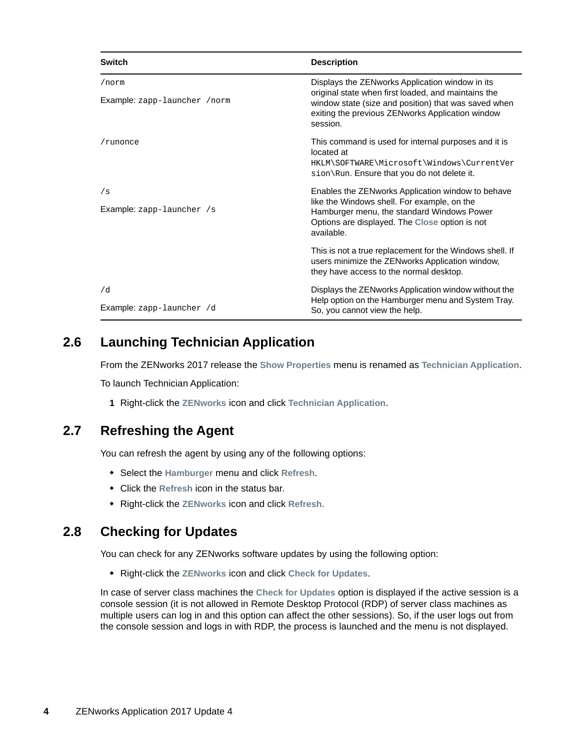| <b>Switch</b>                 | <b>Description</b>                                                                                                                                                          |
|-------------------------------|-----------------------------------------------------------------------------------------------------------------------------------------------------------------------------|
| /norm                         | Displays the ZENworks Application window in its                                                                                                                             |
| Example: zapp-launcher / norm | original state when first loaded, and maintains the<br>window state (size and position) that was saved when<br>exiting the previous ZENworks Application window<br>session. |
| /runonce                      | This command is used for internal purposes and it is<br>located at                                                                                                          |
|                               | HKLM\SOFTWARE\Microsoft\Windows\CurrentVer<br>$sion\$ Run. Ensure that you do not delete it.                                                                                |
| /s                            | Enables the ZENworks Application window to behave                                                                                                                           |
| Example: zapp-launcher /s     | like the Windows shell. For example, on the<br>Hamburger menu, the standard Windows Power<br>Options are displayed. The Close option is not<br>available.                   |
|                               | This is not a true replacement for the Windows shell. If<br>users minimize the ZENworks Application window,<br>they have access to the normal desktop.                      |
| /d                            | Displays the ZENworks Application window without the                                                                                                                        |
| Example: zapp-launcher /d     | Help option on the Hamburger menu and System Tray.<br>So, you cannot view the help.                                                                                         |

## <span id="page-3-0"></span>**2.6 Launching Technician Application**

From the ZENworks 2017 release the **Show Properties** menu is renamed as **Technician Application**.

To launch Technician Application:

**1** Right-click the **ZENworks** icon and click **Technician Application**.

#### <span id="page-3-1"></span>**2.7 Refreshing the Agent**

You can refresh the agent by using any of the following options:

- Select the **Hamburger** menu and click **Refresh**.
- Click the **Refresh** icon in the status bar.
- Right-click the **ZENworks** icon and click **Refresh.**

#### <span id="page-3-2"></span>**2.8 Checking for Updates**

You can check for any ZENworks software updates by using the following option:

Right-click the **ZENworks** icon and click **Check for Updates**.

In case of server class machines the **Check for Updates** option is displayed if the active session is a console session (it is not allowed in Remote Desktop Protocol (RDP) of server class machines as multiple users can log in and this option can affect the other sessions). So, if the user logs out from the console session and logs in with RDP, the process is launched and the menu is not displayed.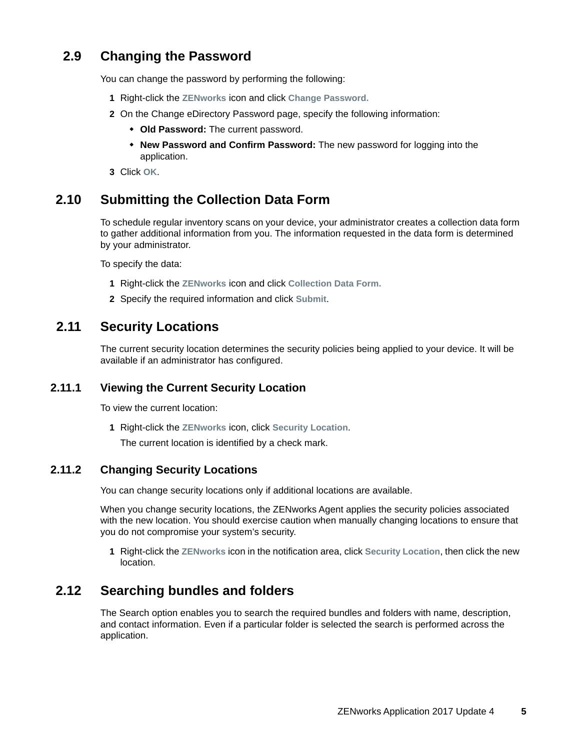## <span id="page-4-0"></span>**2.9 Changing the Password**

You can change the password by performing the following:

- **1** Right-click the **ZENworks** icon and click **Change Password.**
- **2** On the Change eDirectory Password page, specify the following information:
	- **Old Password:** The current password.
	- **New Password and Confirm Password:** The new password for logging into the application.
- **3** Click **OK**.

## <span id="page-4-1"></span>**2.10 Submitting the Collection Data Form**

To schedule regular inventory scans on your device, your administrator creates a collection data form to gather additional information from you. The information requested in the data form is determined by your administrator.

To specify the data:

- **1** Right-click the **ZENworks** icon and click **Collection Data Form.**
- **2** Specify the required information and click **Submit**.

#### <span id="page-4-2"></span>**2.11 Security Locations**

The current security location determines the security policies being applied to your device. It will be available if an administrator has configured.

#### **2.11.1 Viewing the Current Security Location**

To view the current location:

**1** Right-click the **ZENworks** icon, click **Security Location**.

The current location is identified by a check mark.

#### **2.11.2 Changing Security Locations**

You can change security locations only if additional locations are available.

When you change security locations, the ZENworks Agent applies the security policies associated with the new location. You should exercise caution when manually changing locations to ensure that you do not compromise your system's security.

**1** Right-click the **ZENworks** icon in the notification area, click **Security Location**, then click the new location.

#### <span id="page-4-3"></span>**2.12 Searching bundles and folders**

The Search option enables you to search the required bundles and folders with name, description, and contact information. Even if a particular folder is selected the search is performed across the application.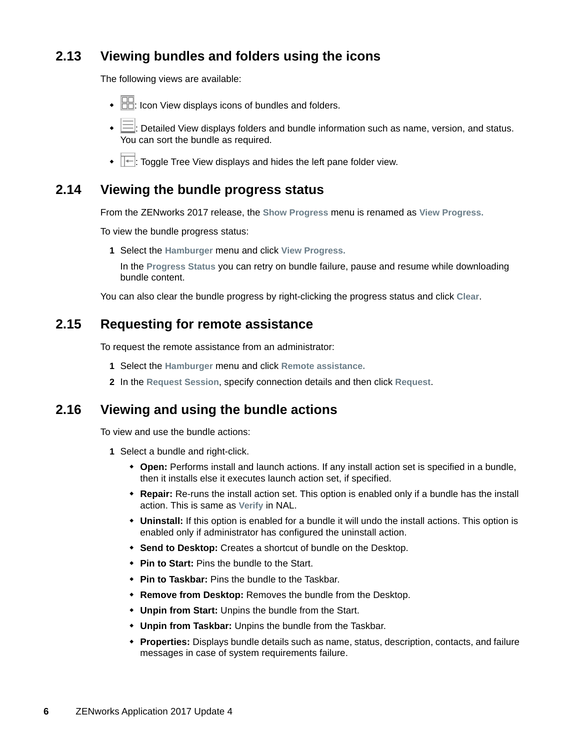## <span id="page-5-0"></span>**2.13 Viewing bundles and folders using the icons**

The following views are available:

- $\cdot$   $\Box$  Icon View displays icons of bundles and folders.
- $\cdot \equiv$ : Detailed View displays folders and bundle information such as name, version, and status. You can sort the bundle as required.
- $\bullet$   $\overline{\bullet}$ : Toggle Tree View displays and hides the left pane folder view.

#### <span id="page-5-1"></span>**2.14 Viewing the bundle progress status**

From the ZENworks 2017 release, the **Show Progress** menu is renamed as **View Progress.**

To view the bundle progress status:

**1** Select the **Hamburger** menu and click **View Progress.**

In the **Progress Status** you can retry on bundle failure, pause and resume while downloading bundle content.

You can also clear the bundle progress by right-clicking the progress status and click **Clear**.

#### <span id="page-5-2"></span>**2.15 Requesting for remote assistance**

To request the remote assistance from an administrator:

- **1** Select the **Hamburger** menu and click **Remote assistance.**
- **2** In the **Request Session**, specify connection details and then click **Request**.

#### <span id="page-5-3"></span>**2.16 Viewing and using the bundle actions**

To view and use the bundle actions:

- **1** Select a bundle and right-click.
	- **Open:** Performs install and launch actions. If any install action set is specified in a bundle, then it installs else it executes launch action set, if specified.
	- **Repair:** Re-runs the install action set. This option is enabled only if a bundle has the install action. This is same as **Verify** in NAL.
	- **Uninstall:** If this option is enabled for a bundle it will undo the install actions. This option is enabled only if administrator has configured the uninstall action.
	- **Send to Desktop:** Creates a shortcut of bundle on the Desktop.
	- **Pin to Start:** Pins the bundle to the Start.
	- **Pin to Taskbar:** Pins the bundle to the Taskbar.
	- **Remove from Desktop:** Removes the bundle from the Desktop.
	- **Unpin from Start:** Unpins the bundle from the Start.
	- **Unpin from Taskbar:** Unpins the bundle from the Taskbar.
	- **Properties:** Displays bundle details such as name, status, description, contacts, and failure messages in case of system requirements failure.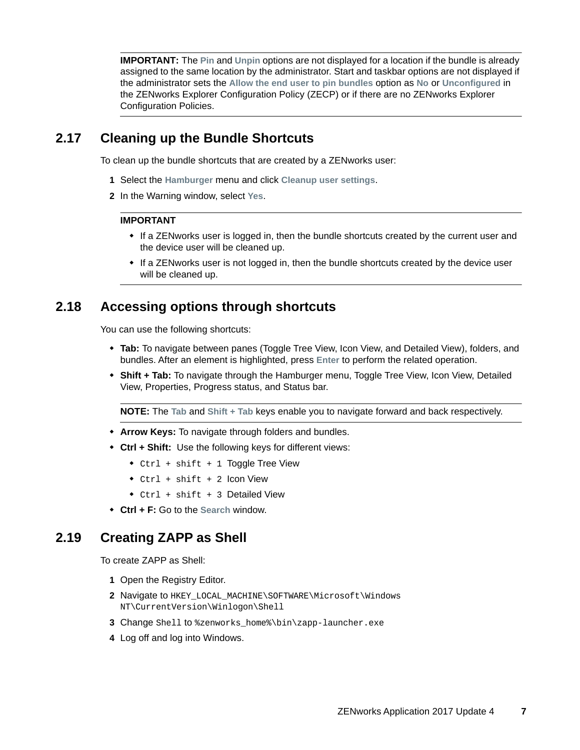**IMPORTANT:** The **Pin** and **Unpin** options are not displayed for a location if the bundle is already assigned to the same location by the administrator. Start and taskbar options are not displayed if the administrator sets the **Allow the end user to pin bundles** option as **No** or **Unconfigured** in the ZENworks Explorer Configuration Policy (ZECP) or if there are no ZENworks Explorer Configuration Policies.

#### <span id="page-6-1"></span>**2.17 Cleaning up the Bundle Shortcuts**

To clean up the bundle shortcuts that are created by a ZENworks user:

- **1** Select the **Hamburger** menu and click **Cleanup user settings**.
- **2** In the Warning window, select **Yes**.

#### **IMPORTANT**

- If a ZENworks user is logged in, then the bundle shortcuts created by the current user and the device user will be cleaned up.
- If a ZENworks user is not logged in, then the bundle shortcuts created by the device user will be cleaned up.

#### <span id="page-6-0"></span>**2.18 Accessing options through shortcuts**

You can use the following shortcuts:

- **Tab:** To navigate between panes (Toggle Tree View, Icon View, and Detailed View), folders, and bundles. After an element is highlighted, press **Enter** to perform the related operation.
- **Shift + Tab:** To navigate through the Hamburger menu, Toggle Tree View, Icon View, Detailed View, Properties, Progress status, and Status bar.

**NOTE:** The **Tab** and **Shift + Tab** keys enable you to navigate forward and back respectively.

- **Arrow Keys:** To navigate through folders and bundles.
- **Ctrl + Shift:** Use the following keys for different views:
	- Ctrl + shift + 1 Toggle Tree View
	- Ctrl + shift + 2 Icon View
	- Ctrl + shift + 3 Detailed View
- **Ctrl + F:** Go to the **Search** window.

#### <span id="page-6-2"></span>**2.19 Creating ZAPP as Shell**

To create ZAPP as Shell:

- **1** Open the Registry Editor.
- **2** Navigate to HKEY\_LOCAL\_MACHINE\SOFTWARE\Microsoft\Windows NT\CurrentVersion\Winlogon\Shell
- **3** Change Shell to %zenworks\_home%\bin\zapp-launcher.exe
- **4** Log off and log into Windows.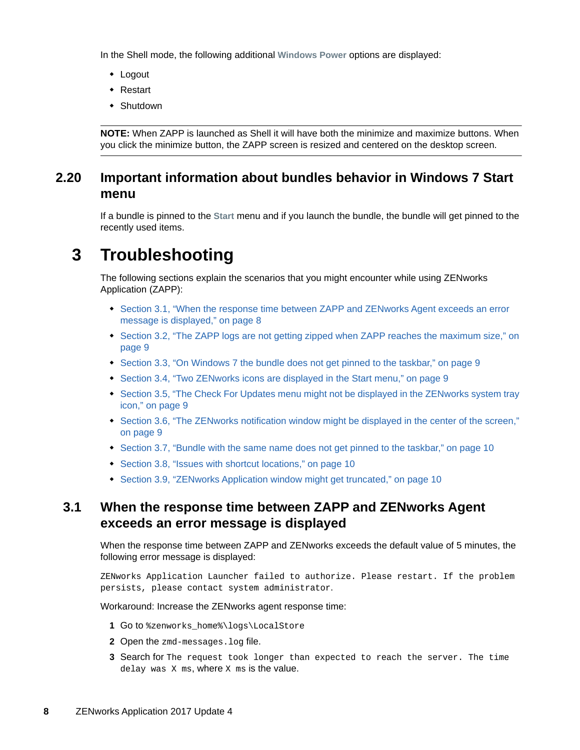In the Shell mode, the following additional **Windows Power** options are displayed:

- Logout
- Restart
- Shutdown

**NOTE:** When ZAPP is launched as Shell it will have both the minimize and maximize buttons. When you click the minimize button, the ZAPP screen is resized and centered on the desktop screen.

#### <span id="page-7-0"></span>**2.20 Important information about bundles behavior in Windows 7 Start menu**

If a bundle is pinned to the **Start** menu and if you launch the bundle, the bundle will get pinned to the recently used items.

# **3 Troubleshooting**

The following sections explain the scenarios that you might encounter while using ZENworks Application (ZAPP):

- Section 3.1, "When the response time between ZAPP and ZENworks Agent exceeds an error [message is displayed," on page 8](#page-7-1)
- Section 3.2, "The ZAPP logs are not getting zipped when ZAPP reaches the maximum size," on [page 9](#page-8-0)
- [Section 3.3, "On Windows 7 the bundle does not get pinned to the taskbar," on page 9](#page-8-1)
- [Section 3.4, "Two ZENworks icons are displayed in the Start menu," on page 9](#page-8-2)
- Section 3.5, "The Check For Updates menu might not be displayed in the ZENworks system tray [icon," on page 9](#page-8-3)
- [Section 3.6, "The ZENworks notification window might be displayed in the center of the screen,"](#page-8-4)  [on page 9](#page-8-4)
- [Section 3.7, "Bundle with the same name does not get pinned to the taskbar," on page 10](#page-9-0)
- [Section 3.8, "Issues with shortcut locations," on page 10](#page-9-1)
- [Section 3.9, "ZENworks Application window might get truncated," on page 10](#page-9-2)

#### <span id="page-7-1"></span>**3.1 When the response time between ZAPP and ZENworks Agent exceeds an error message is displayed**

When the response time between ZAPP and ZENworks exceeds the default value of 5 minutes, the following error message is displayed:

ZENworks Application Launcher failed to authorize. Please restart. If the problem persists, please contact system administrator.

Workaround: Increase the ZENworks agent response time:

- **1** Go to %zenworks\_home%\logs\LocalStore
- **2** Open the zmd-messages.log file.
- **3** Search for The request took longer than expected to reach the server. The time delay was X ms, where X ms is the value.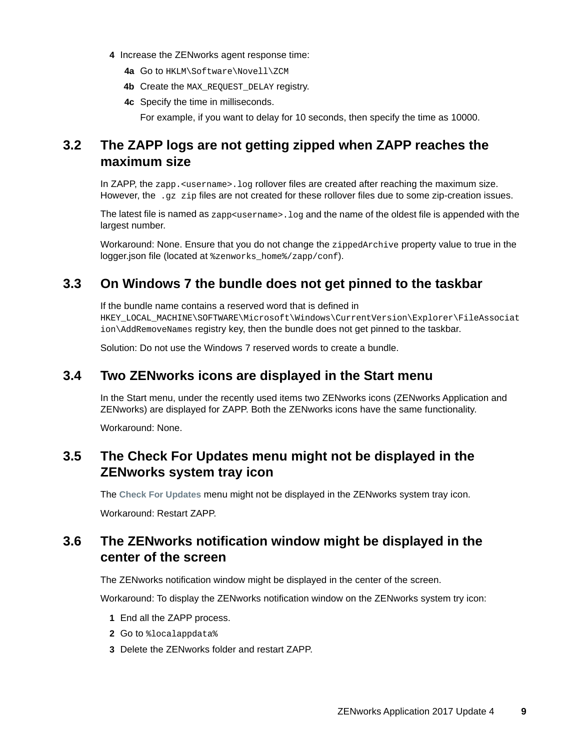- **4** Increase the ZENworks agent response time:
	- **4a** Go to HKLM\Software\Novell\ZCM
	- **4b** Create the MAX\_REQUEST\_DELAY registry.
	- **4c** Specify the time in milliseconds.

For example, if you want to delay for 10 seconds, then specify the time as 10000.

## <span id="page-8-0"></span>**3.2 The ZAPP logs are not getting zipped when ZAPP reaches the maximum size**

In ZAPP, the zapp. <username>.log rollover files are created after reaching the maximum size. However, the .gz zip files are not created for these rollover files due to some zip-creation issues.

The latest file is named as  $z$ app<username>. log and the name of the oldest file is appended with the largest number.

Workaround: None. Ensure that you do not change the zippedArchive property value to true in the logger.json file (located at %zenworks\_home%/zapp/conf).

#### <span id="page-8-1"></span>**3.3 On Windows 7 the bundle does not get pinned to the taskbar**

If the bundle name contains a reserved word that is defined in HKEY\_LOCAL\_MACHINE\SOFTWARE\Microsoft\Windows\CurrentVersion\Explorer\FileAssociat ion\AddRemoveNames registry key, then the bundle does not get pinned to the taskbar.

Solution: Do not use the Windows 7 reserved words to create a bundle.

#### <span id="page-8-2"></span>**3.4 Two ZENworks icons are displayed in the Start menu**

In the Start menu, under the recently used items two ZENworks icons (ZENworks Application and ZENworks) are displayed for ZAPP. Both the ZENworks icons have the same functionality.

Workaround: None.

## <span id="page-8-3"></span>**3.5 The Check For Updates menu might not be displayed in the ZENworks system tray icon**

The **Check For Updates** menu might not be displayed in the ZENworks system tray icon.

Workaround: Restart ZAPP.

## <span id="page-8-4"></span>**3.6 The ZENworks notification window might be displayed in the center of the screen**

The ZENworks notification window might be displayed in the center of the screen.

Workaround: To display the ZENworks notification window on the ZENworks system try icon:

- **1** End all the ZAPP process.
- **2** Go to %localappdata%
- **3** Delete the ZENworks folder and restart ZAPP.